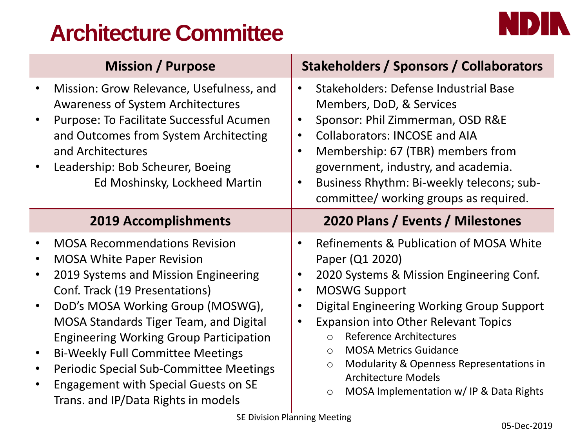# **Architecture Committee**



|           | <b>Mission / Purpose</b>                                                                                                                                                                                                                                                                                                                                                                                                                                                | <b>Stakeholders / Sponsors / Collaborators</b>                                                                                                                                                                                                                                                                                                                                                                                                                                                                                     |
|-----------|-------------------------------------------------------------------------------------------------------------------------------------------------------------------------------------------------------------------------------------------------------------------------------------------------------------------------------------------------------------------------------------------------------------------------------------------------------------------------|------------------------------------------------------------------------------------------------------------------------------------------------------------------------------------------------------------------------------------------------------------------------------------------------------------------------------------------------------------------------------------------------------------------------------------------------------------------------------------------------------------------------------------|
|           | Mission: Grow Relevance, Usefulness, and<br><b>Awareness of System Architectures</b><br>Purpose: To Facilitate Successful Acumen<br>and Outcomes from System Architecting<br>and Architectures<br>Leadership: Bob Scheurer, Boeing<br>Ed Moshinsky, Lockheed Martin                                                                                                                                                                                                     | Stakeholders: Defense Industrial Base<br>$\bullet$<br>Members, DoD, & Services<br>Sponsor: Phil Zimmerman, OSD R&E<br>$\bullet$<br><b>Collaborators: INCOSE and AIA</b><br>$\bullet$<br>Membership: 67 (TBR) members from<br>$\bullet$<br>government, industry, and academia.<br>Business Rhythm: Bi-weekly telecons; sub-<br>$\bullet$<br>committee/ working groups as required.                                                                                                                                                  |
|           | <b>2019 Accomplishments</b>                                                                                                                                                                                                                                                                                                                                                                                                                                             | 2020 Plans / Events / Milestones                                                                                                                                                                                                                                                                                                                                                                                                                                                                                                   |
| $\bullet$ | <b>MOSA Recommendations Revision</b><br><b>MOSA White Paper Revision</b><br>2019 Systems and Mission Engineering<br>Conf. Track (19 Presentations)<br>DoD's MOSA Working Group (MOSWG),<br>MOSA Standards Tiger Team, and Digital<br><b>Engineering Working Group Participation</b><br><b>Bi-Weekly Full Committee Meetings</b><br><b>Periodic Special Sub-Committee Meetings</b><br><b>Engagement with Special Guests on SE</b><br>Trans. and IP/Data Rights in models | Refinements & Publication of MOSA White<br>$\bullet$<br>Paper (Q1 2020)<br>2020 Systems & Mission Engineering Conf.<br>$\bullet$<br><b>MOSWG Support</b><br>$\bullet$<br>Digital Engineering Working Group Support<br>$\bullet$<br><b>Expansion into Other Relevant Topics</b><br>$\bullet$<br><b>Reference Architectures</b><br>$\Omega$<br><b>MOSA Metrics Guidance</b><br>$\bigcirc$<br>Modularity & Openness Representations in<br>$\circ$<br><b>Architecture Models</b><br>MOSA Implementation w/ IP & Data Rights<br>$\circ$ |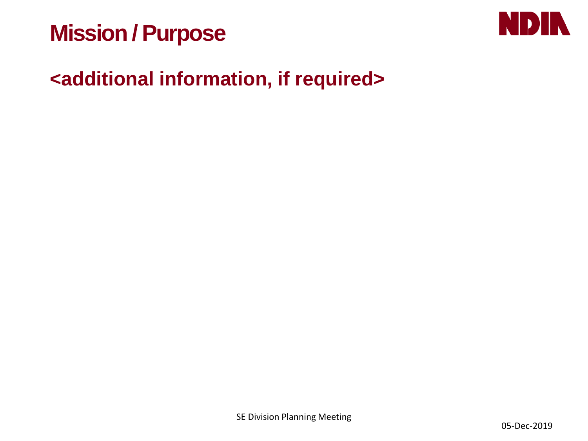# **Mission / Purpose**

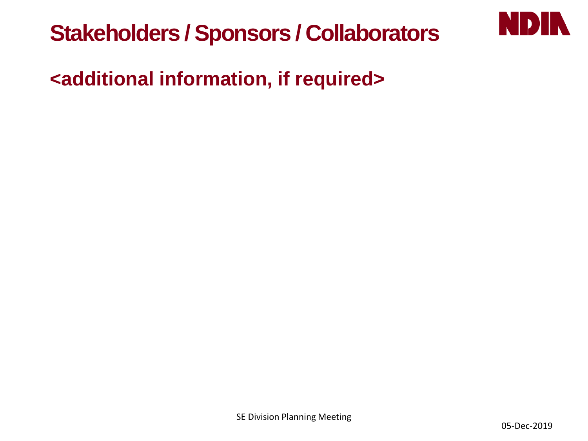

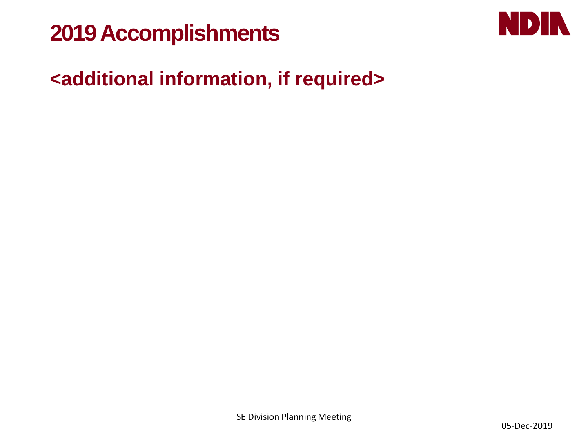# **2019 Accomplishments**